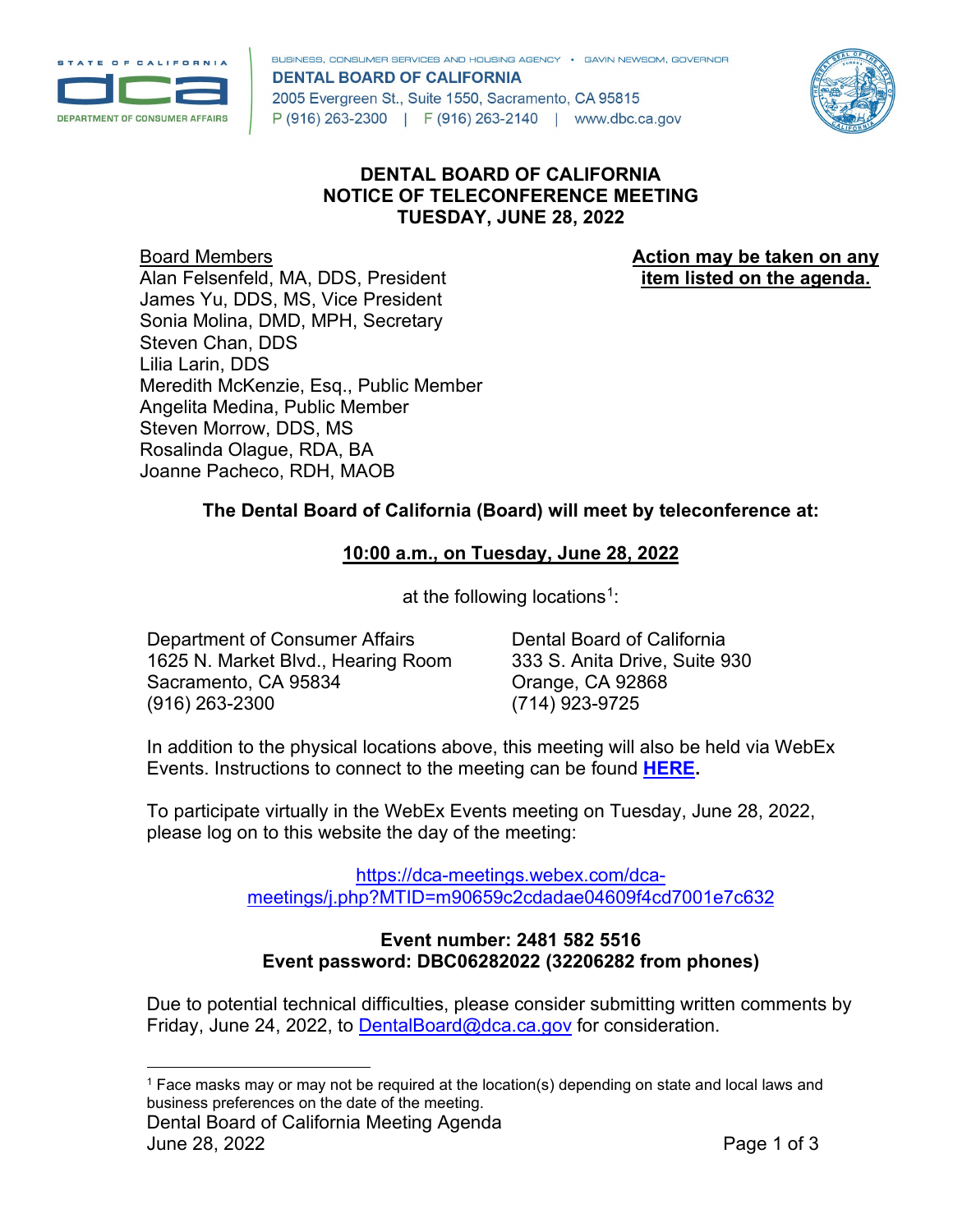

BUSINESS, CONSUMER SERVICES AND HOUSING AGENCY . GAVIN NEWSOM, GOVERNOR **DENTAL BOARD OF CALIFORNIA** 2005 Evergreen St., Suite 1550, Sacramento, CA 95815 P (916) 263-2300 | F (916) 263-2140 | www.dbc.ca.gov



# **DENTAL BOARD OF CALIFORNIA NOTICE OF TELECONFERENCE MEETING TUESDAY, JUNE 28, 2022**

**Board Members <b>Action may be taken on any Action may be taken on any** Alan Felsenfeld, MA, DDS, President **item listed on the agenda.** James Yu, DDS, MS, Vice President Sonia Molina, DMD, MPH, Secretary Steven Chan, DDS Lilia Larin, DDS Meredith McKenzie, Esq., Public Member Angelita Medina, Public Member Steven Morrow, DDS, MS Rosalinda Olague, RDA, BA Joanne Pacheco, RDH, MAOB

# **The Dental Board of California (Board) will meet by teleconference at:**

### **10:00 a.m., on Tuesday, June 28, 2022**

at the following locations<sup>[1](#page-0-0)</sup>:

Department of Consumer Affairs Dental Board of California<br>1625 N. Market Blvd.. Hearing Room 333 S. Anita Drive, Suite 930 1625 N. Market Blvd., Hearing Room Sacramento, CA 95834 **Canadian Crange**, CA 92868 (916) 263-2300 (714) 923-9725

In addition to the physical locations above, this meeting will also be held via WebEx Events. Instructions to connect to the meeting can be found **[HERE.](https://dbc.ca.gov/about_us/meetings/webex_instructions.pdf)** 

To participate virtually in the WebEx Events meeting on Tuesday, June 28, 2022, please log on to this website the day of the meeting:

> [https://dca-meetings.webex.com/dca](https://dca-meetings.webex.com/dca-meetings/j.php?MTID=m90659c2cdadae04609f4cd7001e7c632)[meetings/j.php?MTID=m90659c2cdadae04609f4cd7001e7c632](https://dca-meetings.webex.com/dca-meetings/j.php?MTID=m90659c2cdadae04609f4cd7001e7c632)

#### **Event number: 2481 582 5516 Event password: DBC06282022 (32206282 from phones)**

Due to potential technical difficulties, please consider submitting written comments by Friday, June 24, 2022, to [DentalBoard@dca.ca.gov](mailto:DentalBoard@dca.ca.gov) for consideration.

<span id="page-0-0"></span><sup>1</sup> Face masks may or may not be required at the location(s) depending on state and local laws and business preferences on the date of the meeting.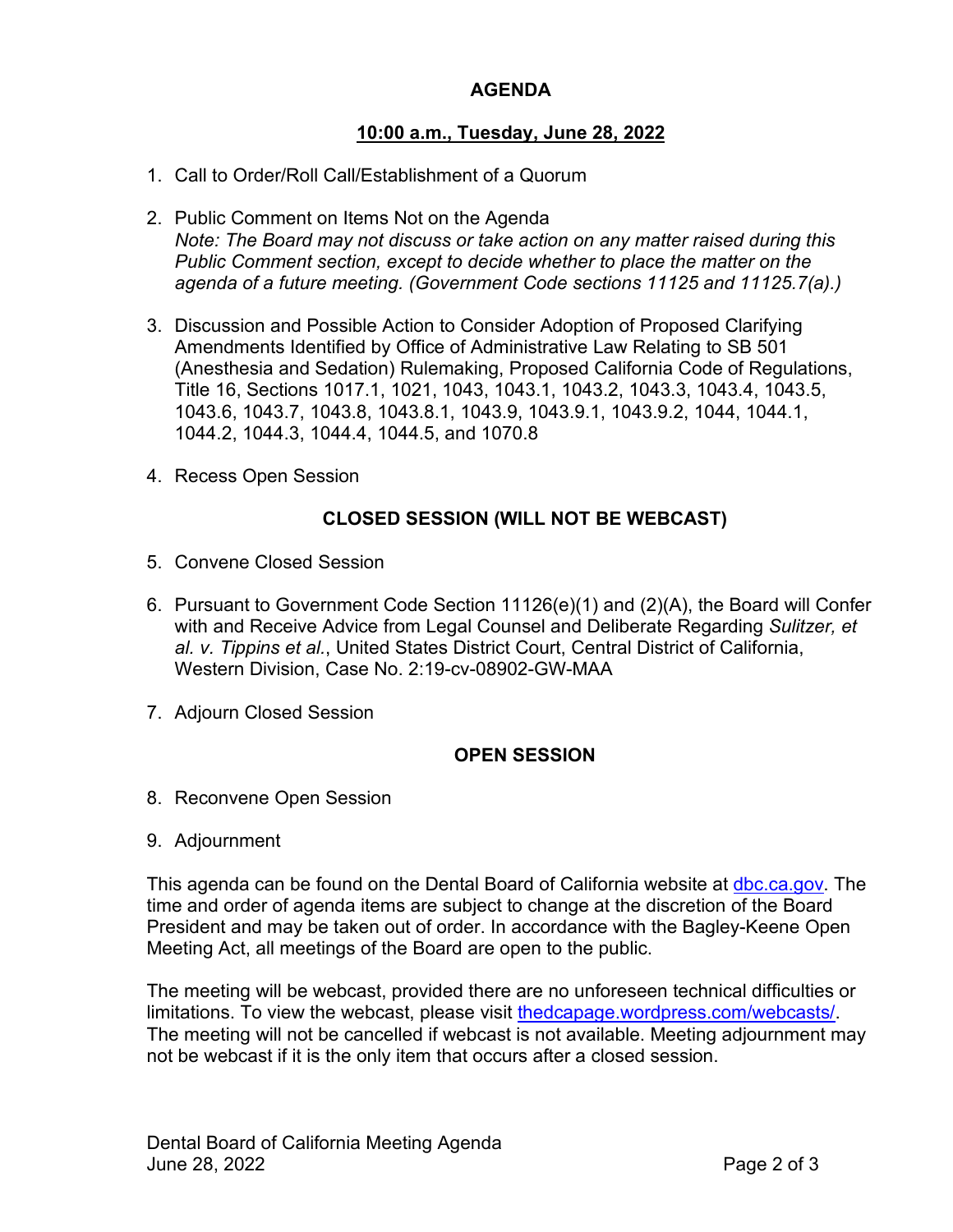# **AGENDA**

### **10:00 a.m., Tuesday, June 28, 2022**

- 1. Call to Order/Roll Call/Establishment of a Quorum
- 2. Public Comment on Items Not on the Agenda *Note: The Board may not discuss or take action on any matter raised during this Public Comment section, except to decide whether to place the matter on the agenda of a future meeting. (Government Code sections 11125 and 11125.7(a).)*
- 3. Discussion and Possible Action to Consider Adoption of Proposed Clarifying Amendments Identified by Office of Administrative Law Relating to SB 501 (Anesthesia and Sedation) Rulemaking, Proposed California Code of Regulations, Title 16, Sections 1017.1, 1021, 1043, 1043.1, 1043.2, 1043.3, 1043.4, 1043.5, 1043.6, 1043.7, 1043.8, 1043.8.1, 1043.9, 1043.9.1, 1043.9.2, 1044, 1044.1, 1044.2, 1044.3, 1044.4, 1044.5, and 1070.8
- 4. Recess Open Session

#### **CLOSED SESSION (WILL NOT BE WEBCAST)**

- 5. Convene Closed Session
- 6. Pursuant to Government Code Section 11126(e)(1) and (2)(A), the Board will Confer with and Receive Advice from Legal Counsel and Deliberate Regarding *Sulitzer, et al. v. Tippins et al.*, United States District Court, Central District of California, Western Division, Case No. 2:19-cv-08902-GW-MAA
- 7. Adjourn Closed Session

#### **OPEN SESSION**

- 8. Reconvene Open Session
- 9. Adjournment

This agenda can be found on the Dental Board of California website at [dbc.ca.gov.](https://www.dbc.ca.gov/) The time and order of agenda items are subject to change at the discretion of the Board President and may be taken out of order. In accordance with the Bagley-Keene Open Meeting Act, all meetings of the Board are open to the public.

The meeting will be webcast, provided there are no unforeseen technical difficulties or limitations. To view the webcast, please visit [thedcapage.wordpress.com/webcasts/.](https://thedcapage.wordpress.com/webcasts/) The meeting will not be cancelled if webcast is not available. Meeting adjournment may not be webcast if it is the only item that occurs after a closed session.